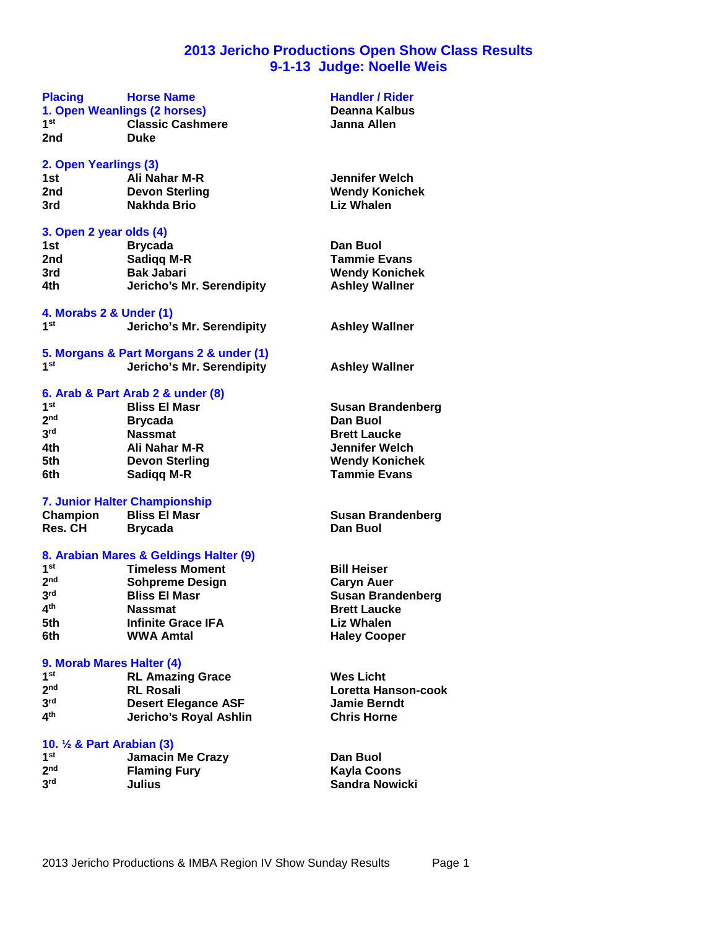### **2013 Jericho Productions Open Show Class Results 9-1-13 Judge: Noelle Weis**

# **Placing Horse Name Manual Handler / Rider**<br> **1. Open Weanlings (2 horses) Handler Allows** Deanna Kalbus

**1. Open Weanlings (2 horses) Deanna Kalbus**  $1^{st}$ <br>
2nd **Classic Cashmere 2nd Duke**

# **2. Open Yearlings (3)**

**2nd Devon Sterling Wendy Konichek Nakhda Brio** 

#### **3. Open 2 year olds (4)**

| 1st | <b>Brycada</b>            | Dan Buol             |
|-----|---------------------------|----------------------|
| 2nd | Sadigg M-R                | <b>Tammie Evan</b>   |
| 3rd | <b>Bak Jabari</b>         | <b>Wendy Konic</b>   |
| 4th | Jericho's Mr. Serendipity | <b>Ashley Wallno</b> |

### **4. Morabs 2 & Under (1)**

| 1 <sup>st</sup> | Jericho's Mr. Serendipity |
|-----------------|---------------------------|
|                 |                           |

|     | 5. Morgans & Part Morgans 2 & under (1) |
|-----|-----------------------------------------|
| 1st | Jericho's Mr. Serendipity               |

#### **6. Arab & Part Arab 2 & under (8)**

| 1 <sup>st</sup> | <b>Bliss El Masr</b>  | <b>Susan Brandenberg</b> |
|-----------------|-----------------------|--------------------------|
| 2 <sub>nd</sub> | <b>Brycada</b>        | Dan Buol                 |
| 3 <sup>rd</sup> | <b>Nassmat</b>        | <b>Brett Laucke</b>      |
| 4th             | Ali Nahar M-R         | Jennifer Welch           |
| 5th             | <b>Devon Sterling</b> | <b>Wendy Konichek</b>    |
| 6th             | Sadigg M-R            | <b>Tammie Evans</b>      |

#### **7. Junior Halter Championship**

| <b>Champion</b> | <b>Bliss El Masr</b> |
|-----------------|----------------------|
| <b>Res. CH</b>  | <b>Brycada</b>       |

#### **8. Arabian Mares & Geldings Halter (9)**

| 1 <sup>st</sup>          | <b>Timeless Moment</b>    |  |
|--------------------------|---------------------------|--|
| 2 <sub>nd</sub>          | <b>Sohpreme Design</b>    |  |
| 3 <sup>rd</sup>          | <b>Bliss El Masr</b>      |  |
| $\mathbf{A}^{\text{th}}$ | <b>Nassmat</b>            |  |
| 5th                      | <b>Infinite Grace IFA</b> |  |
| 6th                      | <b>WWA Amtal</b>          |  |

#### **9. Morab Mares Halter (4)**

| 1 <sup>st</sup> | <b>RL Amazing Grace</b>    | <b>Wes Licht</b>      |
|-----------------|----------------------------|-----------------------|
| 2 <sub>nd</sub> | <b>RL Rosali</b>           | <b>Loretta Hanson</b> |
| 3 <sup>rd</sup> | <b>Desert Elegance ASF</b> | <b>Jamie Berndt</b>   |
| 4 <sup>th</sup> | Jericho's Royal Ashlin     | <b>Chris Horne</b>    |
|                 |                            |                       |

### **10. ½ & Part Arabian (3)**

| 1st             | <b>Jamacin Me Crazy</b> | Dan Buol       |
|-----------------|-------------------------|----------------|
| 2 <sub>nd</sub> | <b>Flaming Fury</b>     | Kayla Coons    |
| 3 <sup>rd</sup> | Julius                  | Sandra Nowicki |

### 2013 Jericho Productions & IMBA Region IV Show Sunday Results Page 1

**1st Ali Nahar M-R Jennifer Welch**

**7ammie Evans Wendy Konichek Ashley Wallner** 

**Serendipity Ashley Wallner** 

**Ashley Wallner** 

**Champion Bliss El Masr Susan Brandenberg Dan Buol** 

**Bill Heiser Caryn Auer Susan Brandenberg Brett Laucke Liz Whalen Haley Cooper** 

**nd RL Rosali Loretta Hanson-cook rdie Berndt the** Horne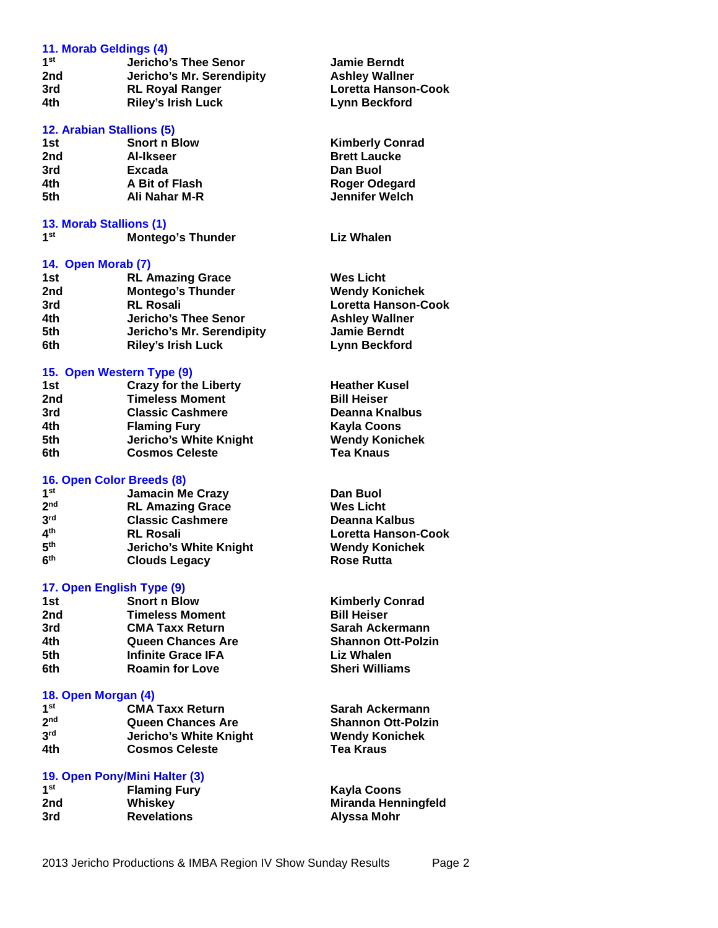|                 | 11. Morab Geldings (4)    |                            |
|-----------------|---------------------------|----------------------------|
| 1 <sup>st</sup> | Jericho's Thee Senor      | <b>Jamie Berndt</b>        |
| 2nd             | Jericho's Mr. Serendipity | <b>Ashley Wallner</b>      |
| 3rd             | <b>RL Royal Ranger</b>    | <b>Loretta Hanson-Cook</b> |
| 4th             | <b>Riley's Irish Luck</b> | <b>Lynn Beckford</b>       |
|                 | 12. Arabian Stallions (5) |                            |
| 1st             | <b>Snort n Blow</b>       | <b>Kimberly Conrad</b>     |
| 2nd             | <b>Al-Ikseer</b>          | <b>Brett Laucke</b>        |
| $2 - 1$         | Evende.                   | <b>DAM DUAL</b>            |

| zna | AI-IKSeer      | <b>Brett Laucke</b> |  |
|-----|----------------|---------------------|--|
| 3rd | Excada         | Dan Buol            |  |
| 4th | A Bit of Flash | Roger Odegard       |  |
| 5th | Ali Nahar M-R  | Jennifer Welch      |  |
|     |                |                     |  |

#### **13. Morab Stallions (1)**

#### **14. Open Morab (7)**

| 1st | <b>RL Amazing Grace</b>   | <b>Wes Licht</b>           |  |
|-----|---------------------------|----------------------------|--|
| 2nd | <b>Montego's Thunder</b>  | <b>Wendy Konichek</b>      |  |
| 3rd | <b>RL Rosali</b>          | <b>Loretta Hanson-Cook</b> |  |
| 4th | Jericho's Thee Senor      | <b>Ashley Wallner</b>      |  |
| 5th | Jericho's Mr. Serendipity | <b>Jamie Berndt</b>        |  |
| 6th | <b>Riley's Irish Luck</b> | <b>Lynn Beckford</b>       |  |

#### **15. Open Western Type (9)**

| 1st | <b>Crazy for the Liberty</b> | <b>Heather Kusel</b>  |
|-----|------------------------------|-----------------------|
| 2nd | <b>Timeless Moment</b>       | <b>Bill Heiser</b>    |
| 3rd | <b>Classic Cashmere</b>      | Deanna Knalbus        |
| 4th | <b>Flaming Fury</b>          | <b>Kayla Coons</b>    |
| 5th | Jericho's White Knight       | <b>Wendy Konichek</b> |
| 6th | <b>Cosmos Celeste</b>        | <b>Tea Knaus</b>      |

#### **16. Open Color Breeds (8)**

| 1 <sub>st</sub>          | <b>Jamacin Me Crazy</b>       |
|--------------------------|-------------------------------|
| 2 <sub>nd</sub>          | <b>RL Amazing Grace</b>       |
| 3 <sup>rd</sup>          | <b>Classic Cashmere</b>       |
| $\mathbf{A}^{\text{th}}$ | <b>RL Rosali</b>              |
| 5 <sup>th</sup>          | <b>Jericho's White Knight</b> |
| 6 <sup>th</sup>          | <b>Clouds Legacy</b>          |

#### **17. Open English Type (9)**

| 1st | <b>Snort n Blow</b>       |
|-----|---------------------------|
| 2nd | <b>Timeless Moment</b>    |
| 3rd | <b>CMA Taxx Return</b>    |
| 4th | <b>Queen Chances Are</b>  |
| 5th | <b>Infinite Grace IFA</b> |
| 6th | <b>Roamin for Love</b>    |

#### **18. Open Morgan (4)**

| 1 <sup>st</sup> | <b>CMA Taxx Return</b>   |
|-----------------|--------------------------|
| 2 <sub>nd</sub> | <b>Queen Chances Are</b> |
| 3rd             | Jericho's White Knight   |
| 4th             | <b>Cosmos Celeste</b>    |

#### **19. Open Pony/Mini Halter (3)**

| 1 <sup>st</sup> | <b>Flaming Fury</b> | Kayla Coons                |
|-----------------|---------------------|----------------------------|
| 2nd             | Whiskey             | <b>Miranda Henningfeld</b> |
| 3rd             | <b>Revelations</b>  | Alyssa Mohr                |

| <b>Kimberly Conrad</b> |
|------------------------|
| <b>Brett Laucke</b>    |
| Dan Buol               |
| Roger Odegard          |
| Jennifer Welch         |

**Liz Whalen** 

| Wes Licht             |
|-----------------------|
| <b>Wendy Konichek</b> |
| Loretta Hanson-Cook   |
| <b>Ashley Wallner</b> |
| <b>Jamie Berndt</b>   |
| Lynn Beckford         |

**Dan Buol Wes Licht Deanna Kalbus th RL Rosali Loretta Hanson-Cook Wendy Konichek Rose Rutta** 

**Kimberly Conrad 2011 Bill Heiser Sarah Ackermann Shannon Ott-Polzin Liz Whalen Sheri Williams** 

**Sarah Ackermann Shannon Ott-Polzin Wendy Konichek 4th Cosmos Celeste Tea Kraus**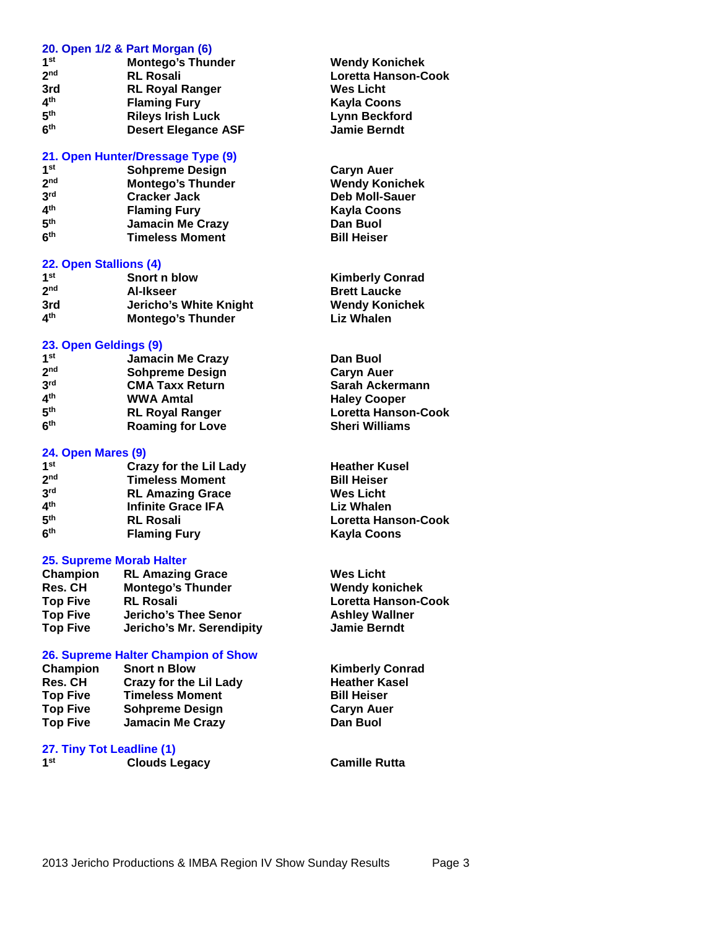#### **20. Open 1/2 & Part Morgan (6)**

| 1 <sup>st</sup>          | <b>Montego's Thunder</b>   |
|--------------------------|----------------------------|
| 2 <sub>nd</sub>          | <b>RL Rosali</b>           |
| 3rd                      | <b>RL Royal Ranger</b>     |
| $\mathbf{A}^{\text{th}}$ | <b>Flaming Fury</b>        |
| 5 <sup>th</sup>          | <b>Rileys Irish Luck</b>   |
| 6 <sup>th</sup>          | <b>Desert Elegance ASF</b> |

#### **21. Open Hunter/Dressage Type (9)**

| 1 <sub>st</sub>          | <b>Sohpreme Design</b>   |
|--------------------------|--------------------------|
| 2 <sub>nd</sub>          | <b>Montego's Thunder</b> |
| $3^{\mathsf{rd}}$        | <b>Cracker Jack</b>      |
| 4 <sup>th</sup>          | <b>Flaming Fury</b>      |
| $\mathbf{5}^{\text{th}}$ | <b>Jamacin Me Crazy</b>  |
| 6 <sup>th</sup>          | <b>Timeless Moment</b>   |

#### **22. Open Stallions (4)**

| 1 <sup>st</sup>          | Snort n blow             | <b>Kimberly Conrad</b> |
|--------------------------|--------------------------|------------------------|
| 2 <sub>nd</sub>          | Al-Ikseer                | <b>Brett Laucke</b>    |
| 3rd                      | Jericho's White Knight   | <b>Wendy Konichek</b>  |
| $\mathbf{A}^{\text{th}}$ | <b>Montego's Thunder</b> | <b>Liz Whalen</b>      |

#### **23. Open Geldings (9)**

| 1 <sup>st</sup> | <b>Jamacin Me Crazy</b> | Dan Buol                   |
|-----------------|-------------------------|----------------------------|
| 2 <sub>nd</sub> | <b>Sohpreme Design</b>  | <b>Caryn Auer</b>          |
| 3 <sup>rd</sup> | <b>CMA Taxx Return</b>  | Sarah Ackermann            |
| 4 <sup>th</sup> | <b>WWA Amtal</b>        | <b>Haley Cooper</b>        |
| 5 <sup>th</sup> | <b>RL Royal Ranger</b>  | <b>Loretta Hanson-Cook</b> |
| 6 <sup>th</sup> | <b>Roaming for Love</b> | <b>Sheri Williams</b>      |

#### **24. Open Mares (9)**

| 1 <sub>st</sub>          | <b>Crazy for the Lil Lady</b> |
|--------------------------|-------------------------------|
| 2 <sub>nd</sub>          | <b>Timeless Moment</b>        |
| 3 <sup>rd</sup>          | <b>RL Amazing Grace</b>       |
| $\mathbf{A}^{\text{th}}$ | <b>Infinite Grace IFA</b>     |
| 5 <sup>th</sup>          | <b>RL Rosali</b>              |
| 6 <sup>th</sup>          | <b>Flaming Fury</b>           |

#### **25. Supreme Morab Halter**

| <b>Champion</b> | <b>RL Amazing Grace</b>     |
|-----------------|-----------------------------|
| <b>Res. CH</b>  | <b>Montego's Thunder</b>    |
| <b>Top Five</b> | <b>RL Rosali</b>            |
| <b>Top Five</b> | <b>Jericho's Thee Senor</b> |
| <b>Top Five</b> | Jericho's Mr. Serendipity   |

#### **26. Supreme Halter Champion of Show**

| Champion        | <b>Snort n Blow</b>           |
|-----------------|-------------------------------|
| <b>Res. CH</b>  | <b>Crazy for the Lil Lady</b> |
| <b>Top Five</b> | <b>Timeless Moment</b>        |
| <b>Top Five</b> | <b>Sohpreme Design</b>        |
| <b>Top Five</b> | <b>Jamacin Me Crazy</b>       |

**27. Tiny Tot Leadline (1)**

| 1st | <b>Clouds Legacy</b> |
|-----|----------------------|
|     |                      |

**Wendy Konichek nd RL Rosali Loretta Hanson-Cook Wes Licht Kayla Coons Lynn Beckford**  $J$ amie Berndt

**Caryn Auer Wendy Konichek Deb Moll-Sauer Kayla Coons Dan Buol<br>Bill Heiser** 

| <b>Kimberly Conrad</b> |
|------------------------|
| <b>Brett Laucke</b>    |
| <b>Wendy Konichek</b>  |
| Liz Whalen             |

**Heather Kusel Bill Heiser Wes Licht Liz Whalen th RL Rosali Loretta Hanson-Cook th Flaming Fury Kayla Coons**

> **Wes Licht Wendy konichek Top Five RL Rosali Loretta Hanson-Cook Ashley Wallner Top Five Jericho's Mr. Serendipity Jamie Berndt**

> > **Kimberly Conrad Heather Kasel Bill Heiser Caryn Auer Dan Buol**

**Camille Rutta**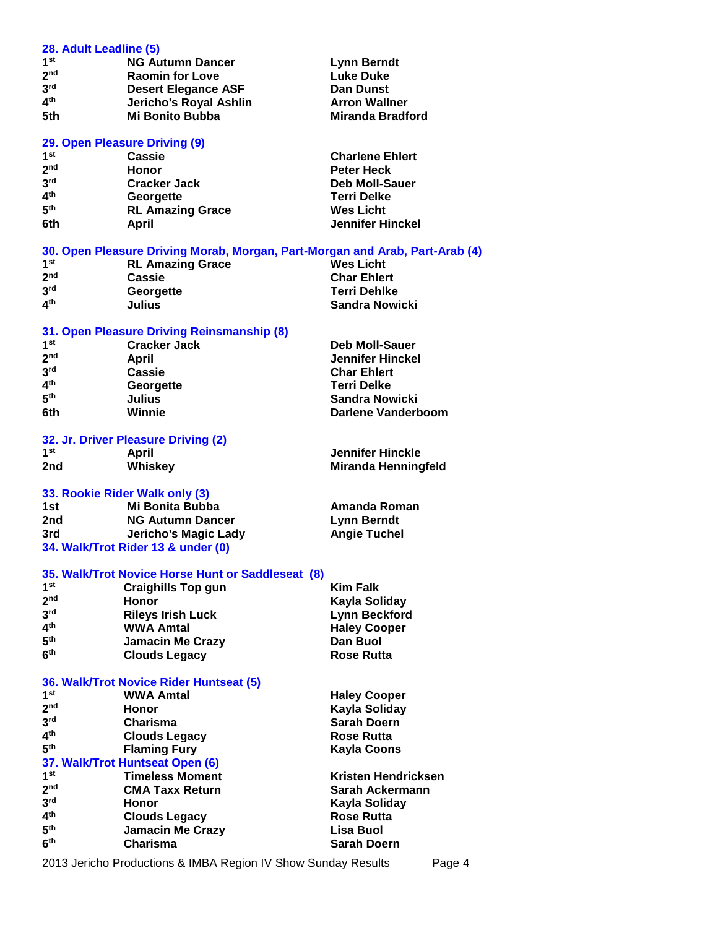| 28. Adult Leadline (5) |                                                                                  |                              |
|------------------------|----------------------------------------------------------------------------------|------------------------------|
| 1 <sup>st</sup>        | <b>NG Autumn Dancer</b>                                                          | <b>Lynn Berndt</b>           |
| 2 <sub>nd</sub>        | <b>Raomin for Love</b>                                                           | <b>Luke Duke</b>             |
| 3 <sup>rd</sup>        | <b>Desert Elegance ASF</b>                                                       | <b>Dan Dunst</b>             |
| 4 <sup>th</sup>        | Jericho's Royal Ashlin                                                           | <b>Arron Wallner</b>         |
| 5th                    | <b>Mi Bonito Bubba</b>                                                           | <b>Miranda Bradford</b>      |
|                        |                                                                                  |                              |
|                        | 29. Open Pleasure Driving (9)                                                    |                              |
| 1 <sup>st</sup>        | Cassie                                                                           | <b>Charlene Ehlert</b>       |
| 2 <sub>nd</sub>        | Honor                                                                            | <b>Peter Heck</b>            |
| 3 <sup>rd</sup>        | <b>Cracker Jack</b>                                                              | <b>Deb Moll-Sauer</b>        |
| 4 <sup>th</sup>        | Georgette                                                                        | <b>Terri Delke</b>           |
| 5 <sup>th</sup>        | <b>RL Amazing Grace</b>                                                          | <b>Wes Licht</b>             |
| 6th                    | <b>April</b>                                                                     | <b>Jennifer Hinckel</b>      |
|                        |                                                                                  |                              |
|                        | 30. Open Pleasure Driving Morab, Morgan, Part-Morgan and Arab, Part-Arab (4)     |                              |
| 1 <sup>st</sup>        | <b>RL Amazing Grace</b>                                                          | <b>Wes Licht</b>             |
| 2 <sub>nd</sub>        | Cassie                                                                           | <b>Char Ehlert</b>           |
| 3 <sup>rd</sup>        | Georgette                                                                        | Terri Dehlke                 |
| 4 <sup>th</sup>        | <b>Julius</b>                                                                    | <b>Sandra Nowicki</b>        |
|                        | 31. Open Pleasure Driving Reinsmanship (8)                                       |                              |
| 1 <sup>st</sup>        | <b>Cracker Jack</b>                                                              | <b>Deb Moll-Sauer</b>        |
| 2 <sub>nd</sub>        | <b>April</b>                                                                     | <b>Jennifer Hinckel</b>      |
| 3 <sup>rd</sup>        | <b>Cassie</b>                                                                    | <b>Char Ehlert</b>           |
| 4 <sup>th</sup>        | Georgette                                                                        | <b>Terri Delke</b>           |
| 5 <sup>th</sup>        | <b>Julius</b>                                                                    | <b>Sandra Nowicki</b>        |
| 6th                    | Winnie                                                                           | Darlene Vanderboom           |
|                        |                                                                                  |                              |
|                        | 32. Jr. Driver Pleasure Driving (2)                                              |                              |
| 1 <sup>st</sup>        | April                                                                            | <b>Jennifer Hinckle</b>      |
|                        |                                                                                  |                              |
| 2nd                    | Whiskey                                                                          | <b>Miranda Henningfeld</b>   |
|                        |                                                                                  |                              |
|                        | 33. Rookie Rider Walk only (3)                                                   |                              |
| 1st                    | Mi Bonita Bubba                                                                  | <b>Amanda Roman</b>          |
| 2nd                    | <b>NG Autumn Dancer</b>                                                          | <b>Lynn Berndt</b>           |
| 3rd                    | Jericho's Magic Lady                                                             | <b>Angie Tuchel</b>          |
|                        | 34. Walk/Trot Rider 13 & under (0)                                               |                              |
|                        |                                                                                  |                              |
|                        | 35. Walk/Trot Novice Horse Hunt or Saddleseat (8)                                |                              |
| 1 <sup>st</sup>        | <b>Craighills Top gun</b>                                                        | <b>Kim Falk</b>              |
| 2 <sub>nd</sub>        | <b>Honor</b>                                                                     | Kayla Soliday                |
| 3 <sup>rd</sup>        | <b>Rileys Irish Luck</b>                                                         | <b>Lynn Beckford</b>         |
| 4 <sup>th</sup>        | <b>WWA Amtal</b>                                                                 | <b>Haley Cooper</b>          |
| 5 <sup>th</sup>        | Jamacin Me Crazy                                                                 | Dan Buol                     |
| 6 <sup>th</sup>        | <b>Clouds Legacy</b>                                                             | <b>Rose Rutta</b>            |
|                        |                                                                                  |                              |
|                        | 36. Walk/Trot Novice Rider Huntseat (5)                                          |                              |
| 1 <sup>st</sup>        | <b>WWA Amtal</b>                                                                 | <b>Haley Cooper</b>          |
| 2 <sub>nd</sub>        | Honor                                                                            | Kayla Soliday                |
| 3 <sup>rd</sup>        | Charisma                                                                         | <b>Sarah Doern</b>           |
| 4 <sup>th</sup>        | <b>Clouds Legacy</b>                                                             | <b>Rose Rutta</b>            |
| 5 <sup>th</sup>        | <b>Flaming Fury</b>                                                              | <b>Kayla Coons</b>           |
|                        | 37. Walk/Trot Huntseat Open (6)                                                  |                              |
| 1 <sup>st</sup>        | <b>Timeless Moment</b>                                                           | Kristen Hendricksen          |
| 2 <sub>nd</sub>        | <b>CMA Taxx Return</b>                                                           | Sarah Ackermann              |
| 3 <sup>rd</sup>        | <b>Honor</b>                                                                     | Kayla Soliday                |
| 4 <sup>th</sup>        | <b>Clouds Legacy</b>                                                             | <b>Rose Rutta</b>            |
| 5 <sup>th</sup>        | <b>Jamacin Me Crazy</b>                                                          | <b>Lisa Buol</b>             |
| 6 <sup>th</sup>        | <b>Charisma</b><br>2013 Jericho Productions & IMBA Region IV Show Sunday Results | <b>Sarah Doern</b><br>Page 4 |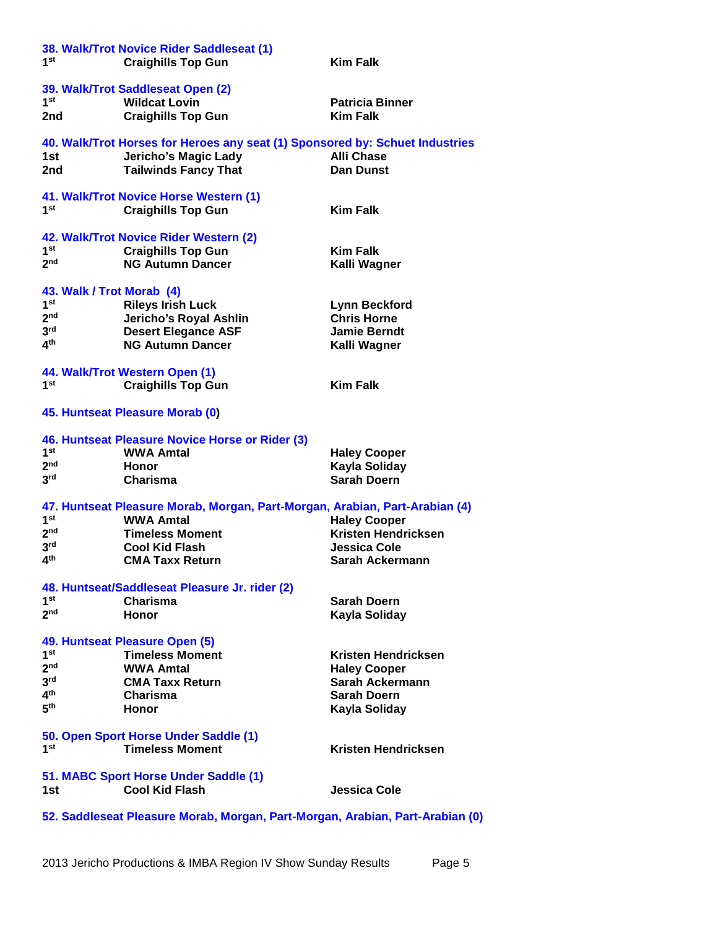| 1st                                                                           | 38. Walk/Trot Novice Rider Saddleseat (1)<br><b>Craighills Top Gun</b>       | <b>Kim Falk</b>            |
|-------------------------------------------------------------------------------|------------------------------------------------------------------------------|----------------------------|
|                                                                               | 39. Walk/Trot Saddleseat Open (2)                                            |                            |
| 1 <sup>st</sup>                                                               | <b>Wildcat Lovin</b>                                                         | <b>Patricia Binner</b>     |
| 2nd                                                                           | <b>Craighills Top Gun</b>                                                    | <b>Kim Falk</b>            |
|                                                                               | 40. Walk/Trot Horses for Heroes any seat (1) Sponsored by: Schuet Industries |                            |
| 1st                                                                           | <b>Jericho's Magic Lady</b>                                                  | <b>Alli Chase</b>          |
| 2nd                                                                           | <b>Tailwinds Fancy That</b>                                                  | <b>Dan Dunst</b>           |
|                                                                               |                                                                              |                            |
|                                                                               | 41. Walk/Trot Novice Horse Western (1)                                       |                            |
| 1st                                                                           | <b>Craighills Top Gun</b>                                                    | <b>Kim Falk</b>            |
|                                                                               | 42. Walk/Trot Novice Rider Western (2)                                       |                            |
| 1st                                                                           | <b>Craighills Top Gun</b>                                                    | <b>Kim Falk</b>            |
| 2 <sub>nd</sub>                                                               | <b>NG Autumn Dancer</b>                                                      | Kalli Wagner               |
|                                                                               |                                                                              |                            |
| 43. Walk / Trot Morab (4)                                                     |                                                                              |                            |
| 1 <sup>st</sup>                                                               | <b>Rileys Irish Luck</b>                                                     | <b>Lynn Beckford</b>       |
| 2 <sub>nd</sub>                                                               | Jericho's Royal Ashlin                                                       | <b>Chris Horne</b>         |
| 3 <sup>rd</sup>                                                               | <b>Desert Elegance ASF</b>                                                   | <b>Jamie Berndt</b>        |
| 4 <sup>th</sup>                                                               | <b>NG Autumn Dancer</b>                                                      | Kalli Wagner               |
|                                                                               | 44. Walk/Trot Western Open (1)                                               |                            |
| 1st                                                                           | <b>Craighills Top Gun</b>                                                    | <b>Kim Falk</b>            |
|                                                                               | 45. Huntseat Pleasure Morab (0)                                              |                            |
|                                                                               | 46. Huntseat Pleasure Novice Horse or Rider (3)                              |                            |
| 1 <sup>st</sup>                                                               | <b>WWA Amtal</b>                                                             | <b>Haley Cooper</b>        |
| 2 <sub>nd</sub>                                                               | Honor                                                                        | Kayla Soliday              |
| 3 <sup>rd</sup>                                                               | Charisma                                                                     | <b>Sarah Doern</b>         |
|                                                                               |                                                                              |                            |
|                                                                               | 47. Huntseat Pleasure Morab, Morgan, Part-Morgan, Arabian, Part-Arabian (4)  |                            |
| 1 <sup>st</sup>                                                               | <b>WWA Amtal</b>                                                             | <b>Haley Cooper</b>        |
| 2 <sub>nd</sub>                                                               | <b>Timeless Moment</b>                                                       | Kristen Hendricksen        |
| 3 <sup>rd</sup>                                                               | <b>Cool Kid Flash</b>                                                        | Jessica Cole               |
| 4 <sup>th</sup>                                                               | <b>CMA Taxx Return</b>                                                       | Sarah Ackermann            |
|                                                                               | 48. Huntseat/Saddleseat Pleasure Jr. rider (2)                               |                            |
| 1 <sup>st</sup>                                                               | Charisma                                                                     | Sarah Doern                |
| 2 <sub>nd</sub>                                                               | Honor                                                                        | Kayla Soliday              |
|                                                                               |                                                                              |                            |
| 1 <sup>st</sup>                                                               | 49. Huntseat Pleasure Open (5)                                               |                            |
| 2 <sub>nd</sub>                                                               | <b>Timeless Moment</b>                                                       | Kristen Hendricksen        |
|                                                                               | <b>WWA Amtal</b>                                                             | <b>Haley Cooper</b>        |
| 3 <sup>rd</sup>                                                               | <b>CMA Taxx Return</b>                                                       | Sarah Ackermann            |
| 4 <sup>th</sup>                                                               | Charisma                                                                     | Sarah Doern                |
| 5 <sup>th</sup>                                                               | Honor                                                                        | Kayla Soliday              |
| 50. Open Sport Horse Under Saddle (1)                                         |                                                                              |                            |
| 1st                                                                           | <b>Timeless Moment</b>                                                       | <b>Kristen Hendricksen</b> |
|                                                                               |                                                                              |                            |
| 1st                                                                           | 51. MABC Sport Horse Under Saddle (1)<br><b>Cool Kid Flash</b>               | Jessica Cole               |
|                                                                               |                                                                              |                            |
| 52. Saddleseat Pleasure Morab, Morgan, Part-Morgan, Arabian, Part-Arabian (0) |                                                                              |                            |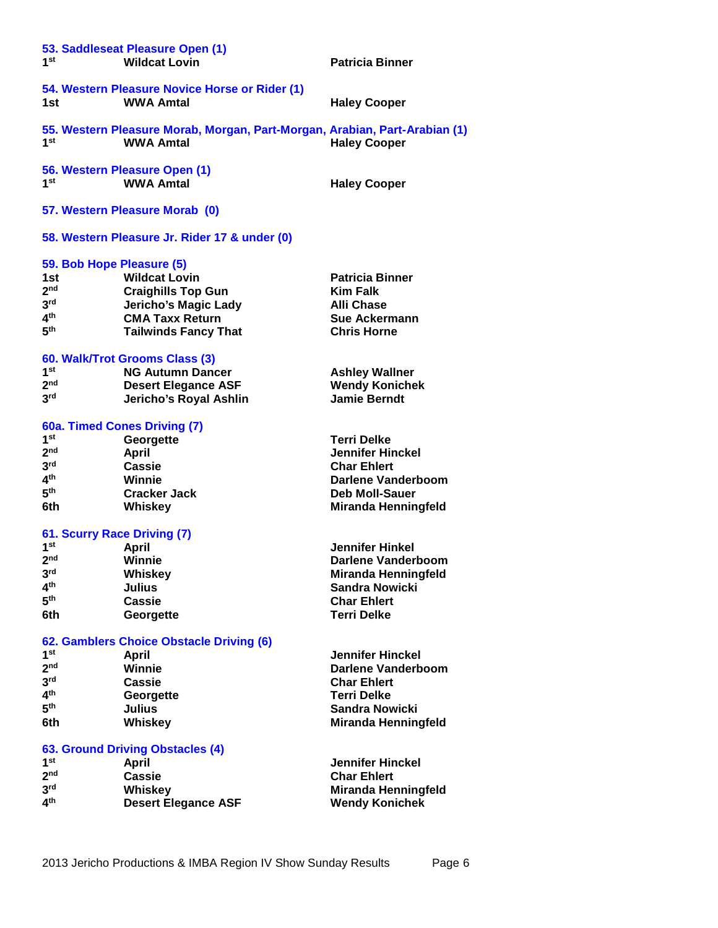| 1st                              | 53. Saddleseat Pleasure Open (1)<br><b>Wildcat Lovin</b>                                       | <b>Patricia Binner</b>     |
|----------------------------------|------------------------------------------------------------------------------------------------|----------------------------|
| 1st                              | 54. Western Pleasure Novice Horse or Rider (1)<br><b>WWA Amtal</b>                             | <b>Haley Cooper</b>        |
| 1st                              | 55. Western Pleasure Morab, Morgan, Part-Morgan, Arabian, Part-Arabian (1)<br><b>WWA Amtal</b> | <b>Haley Cooper</b>        |
| 1 <sup>st</sup>                  | 56. Western Pleasure Open (1)<br><b>WWA Amtal</b>                                              | <b>Haley Cooper</b>        |
|                                  | 57. Western Pleasure Morab (0)                                                                 |                            |
|                                  | 58. Western Pleasure Jr. Rider 17 & under (0)                                                  |                            |
|                                  | 59. Bob Hope Pleasure (5)                                                                      |                            |
| 1st                              | <b>Wildcat Lovin</b>                                                                           | <b>Patricia Binner</b>     |
| 2 <sub>nd</sub>                  | <b>Craighills Top Gun</b>                                                                      | <b>Kim Falk</b>            |
| 3 <sup>rd</sup>                  | <b>Jericho's Magic Lady</b>                                                                    | <b>Alli Chase</b>          |
| 4 <sup>th</sup>                  | <b>CMA Taxx Return</b>                                                                         | <b>Sue Ackermann</b>       |
| 5 <sup>th</sup>                  | <b>Tailwinds Fancy That</b>                                                                    | <b>Chris Horne</b>         |
|                                  | 60. Walk/Trot Grooms Class (3)                                                                 |                            |
| 1 <sup>st</sup>                  | <b>NG Autumn Dancer</b>                                                                        | <b>Ashley Wallner</b>      |
| 2 <sup>nd</sup>                  | <b>Desert Elegance ASF</b>                                                                     | <b>Wendy Konichek</b>      |
| 3 <sup>rd</sup>                  | Jericho's Royal Ashlin                                                                         | <b>Jamie Berndt</b>        |
|                                  | 60a. Timed Cones Driving (7)                                                                   |                            |
| 1 <sup>st</sup>                  | Georgette                                                                                      | <b>Terri Delke</b>         |
| 2 <sub>nd</sub>                  | <b>April</b>                                                                                   | <b>Jennifer Hinckel</b>    |
| 3 <sup>rd</sup>                  | Cassie                                                                                         | <b>Char Ehlert</b>         |
| 4 <sup>th</sup>                  | Winnie                                                                                         | Darlene Vanderboom         |
| 5 <sup>th</sup>                  | <b>Cracker Jack</b>                                                                            | <b>Deb Moll-Sauer</b>      |
| 6th                              | Whiskey                                                                                        | <b>Miranda Henningfeld</b> |
|                                  | 61. Scurry Race Driving (7)                                                                    |                            |
| 1 <sup>st</sup>                  | April                                                                                          | <b>Jennifer Hinkel</b>     |
| 2 <sub>nd</sub>                  | Winnie                                                                                         | Darlene Vanderboom         |
| 3 <sup>rd</sup>                  | Whiskey                                                                                        | <b>Miranda Henningfeld</b> |
| 4 <sup>th</sup>                  | <b>Julius</b>                                                                                  | <b>Sandra Nowicki</b>      |
| 5 <sup>th</sup>                  | <b>Cassie</b>                                                                                  | <b>Char Ehlert</b>         |
| 6th                              | Georgette                                                                                      | <b>Terri Delke</b>         |
|                                  | 62. Gamblers Choice Obstacle Driving (6)                                                       |                            |
| 1 <sup>st</sup>                  | <b>April</b>                                                                                   | <b>Jennifer Hinckel</b>    |
| 2 <sub>nd</sub>                  | Winnie                                                                                         | <b>Darlene Vanderboom</b>  |
| 3 <sup>rd</sup>                  | <b>Cassie</b>                                                                                  | <b>Char Ehlert</b>         |
| 4 <sup>th</sup>                  | Georgette                                                                                      | <b>Terri Delke</b>         |
| 5 <sup>th</sup>                  | <b>Julius</b>                                                                                  | <b>Sandra Nowicki</b>      |
| 6th                              | Whiskey                                                                                        | <b>Miranda Henningfeld</b> |
| 63. Ground Driving Obstacles (4) |                                                                                                |                            |
| 1 <sup>st</sup>                  | <b>April</b>                                                                                   | <b>Jennifer Hinckel</b>    |
| 2 <sub>nd</sub>                  | Cassie                                                                                         | <b>Char Ehlert</b>         |
| 3 <sup>rd</sup>                  | Whiskey                                                                                        | <b>Miranda Henningfeld</b> |
| 4 <sup>th</sup>                  | <b>Desert Elegance ASF</b>                                                                     | <b>Wendy Konichek</b>      |